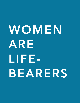# **WOMEN ARE LIFE-BEARERS**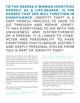**TO THE DEGREE A WOMAN IDENTIFIES HERSELF AS A LIFE-BEARER, IS THE DEGREE THAT SHE WILL FUNCTION IN SIGNIFICANCE.** IDENTITY THEFT IS A VERY PAINFUL PROCESS TO HAVE TO GO THROUGH AND REPAIR. IDENTI-TY HAS EVERYTHING TO DO WITH THE UNIQUENESS AND DISTINCTIVENESS OF A PERSON. IT IS LINKED TO CHAR-ACTER AND PERSONALITY. TO HAVE EVERYTHING THAT IS UNIQUE, DISTINCT AND DEEPLY PERSONAL STOLEN FROM YOU IS PART OF IDENTITY THEFT.

Deborah is in the middle of a nation that had lost its identity and had exchanged it for a nation without a moral compass. Sin had proposed to Israel and in its proposal was the denial of the nation's identity in God. Israel accepted and in came all that is part of losing your identity.

Nations, like individuals, can lose their identity.

Israel had lost the northern part of the nation to such a level that people no longer even walked on the roads out of fear they would be killed or taken captive by Sisera. *Losing your identity always involves losing your freedom.* Freedom in the form of sin that has no boundaries will inevitably bring you into the greatest human bondage.

This is where the choice of Deborah's identity as mother introduces this statement:

# **"AS A WOMAN, I AWAKENED MYSELF TO BRING LIFE TO THE NATION."**

# **"AS A WOMAN, I AWAKENED MYSELF TO ADOPT THE PAIN OF OTHERS AS MY OWN."**

It is fairly obvious that women bring life through bearing children.The joy of bringing life into the world is one of the most powerful aspects of the identity of women as life bearers. Children are the life of a nation. *The very future of a nation is in its children and the life that is passed down through the strength of its mothers will determine the prosperity of that nation continuing to each generation.* What has been passed down generation to generation is currently what our society is composed of. Deborah saw that what was being passed down was causing the very light and life of the nation to spiral. Under that tree she saw case after case, day after day, life being choked out of Israel. Identity theft was occurring at an alarming rate.

Catalyzing life is an identity marker of every woman.

What if every situation you walked into, you took it upon yourself to bring life into it?